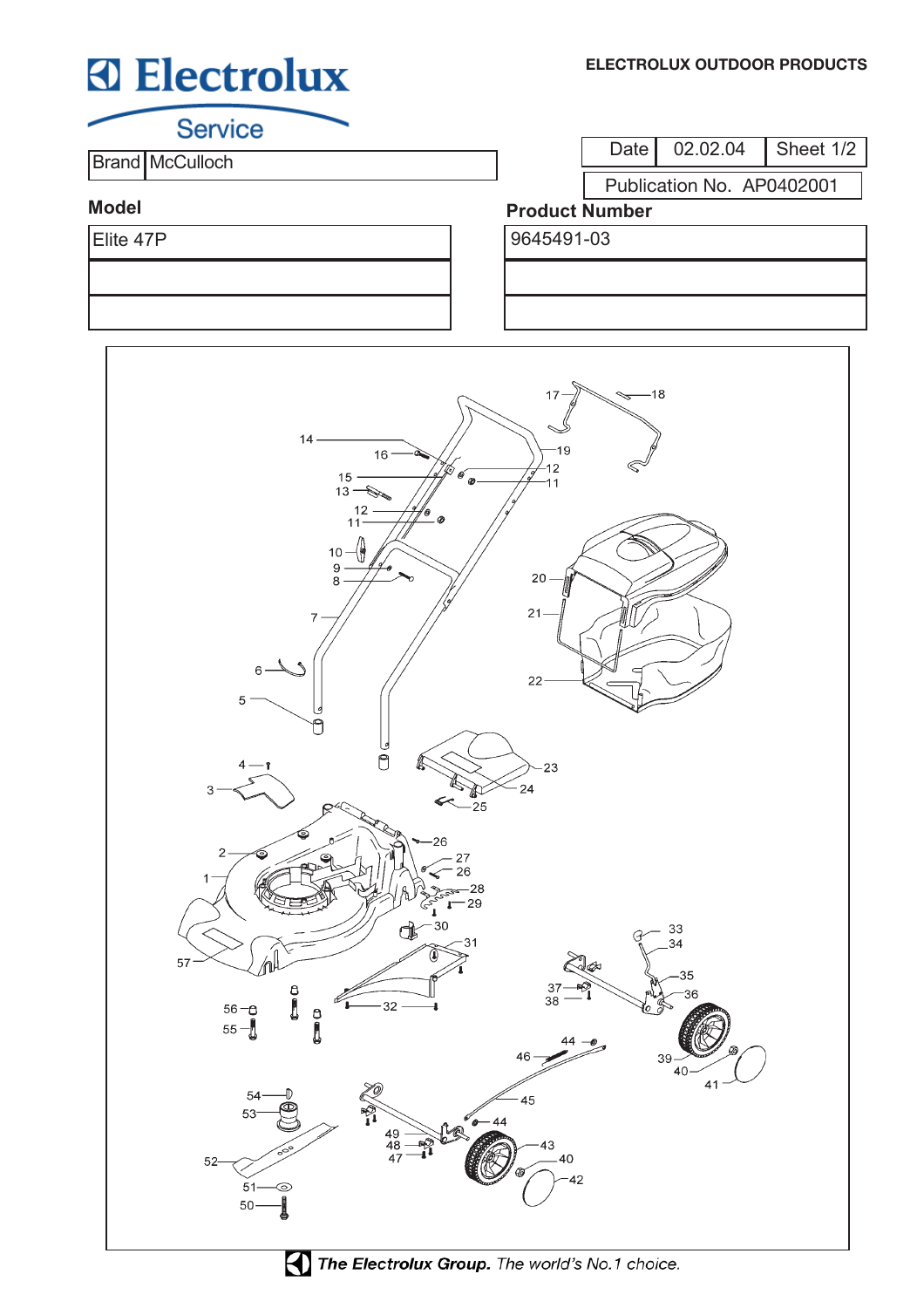# **Electrolux**

**Service** 

**Brand McCulloch** 

Date 02.02.04 Sheet 1/2

Publication No. AP0402001

### **Model**

#### **Product Number** Elite 47P 9645491-03